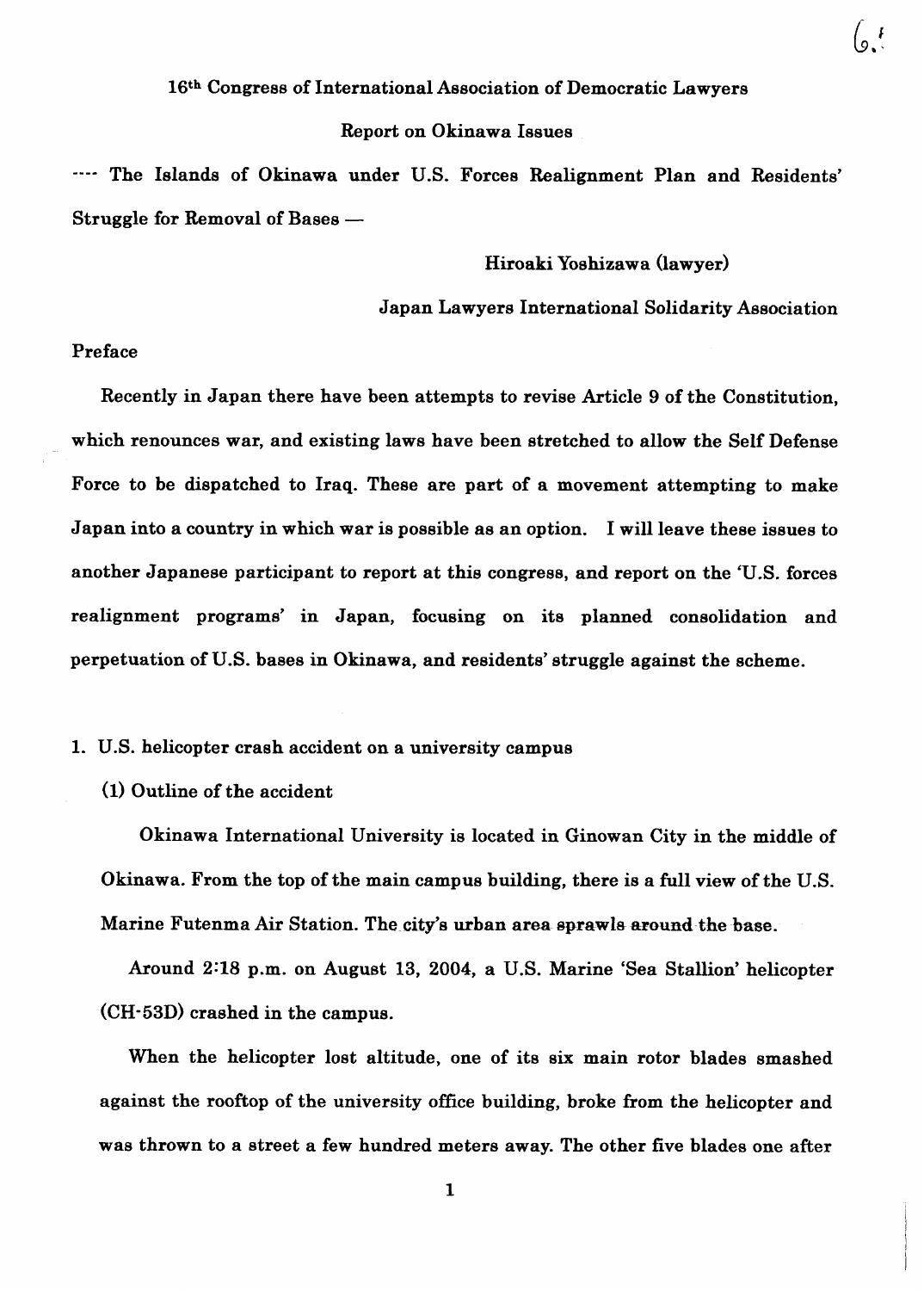## 16th Congress of International Association of Democratic Lawyers

## Report on Okinawa Issues

---- The Islands of Okinawa under U.S. Forces Realignment Plan and Residents' Struggle for Removal of Bases  $-$ 

Hiroaki Yoshizawa (lawyer)

Japan Lawyers International Solidarity Association

# Preface

Recently in Japan there have been attempts to revise Article 9 of the Constitution, which renounces war, and existing laws have been stretched to allow the Self Defense Force to be dispatched to Iraq. These are part of a movement attempting to make Japan into a country in which war is possible as an option. I will leave these issues to another Japanese participant to report at this congress, and report on the 'U.S. forces realignment programs' in Japan, focusing on its planned consolidation and perpetuation of U.S. bases in Okinawa, and residents' struggle against the scheme.

# 1. U.S. helicopter crash accident on a university campus

# (1) Outline of the accident

Okinawa International University is located in Ginowan City in the middle of Okinawa. From the top of the main campus building, there is a full view of the U.S. Marine Futenma Air Station. The city's urban area sprawls around the base.

Around **238** p.m. on August 13, 2004, a U.S. Marine 'Sea Stallion' helicopter (CH-53D) crashed in the campus.

When the helicopter lost altitude, one of its six main rotor blades smashed against the rooftop of the university office building, broke from the helicopter and was thrown to a street a few hundred meters away. The other five blades one after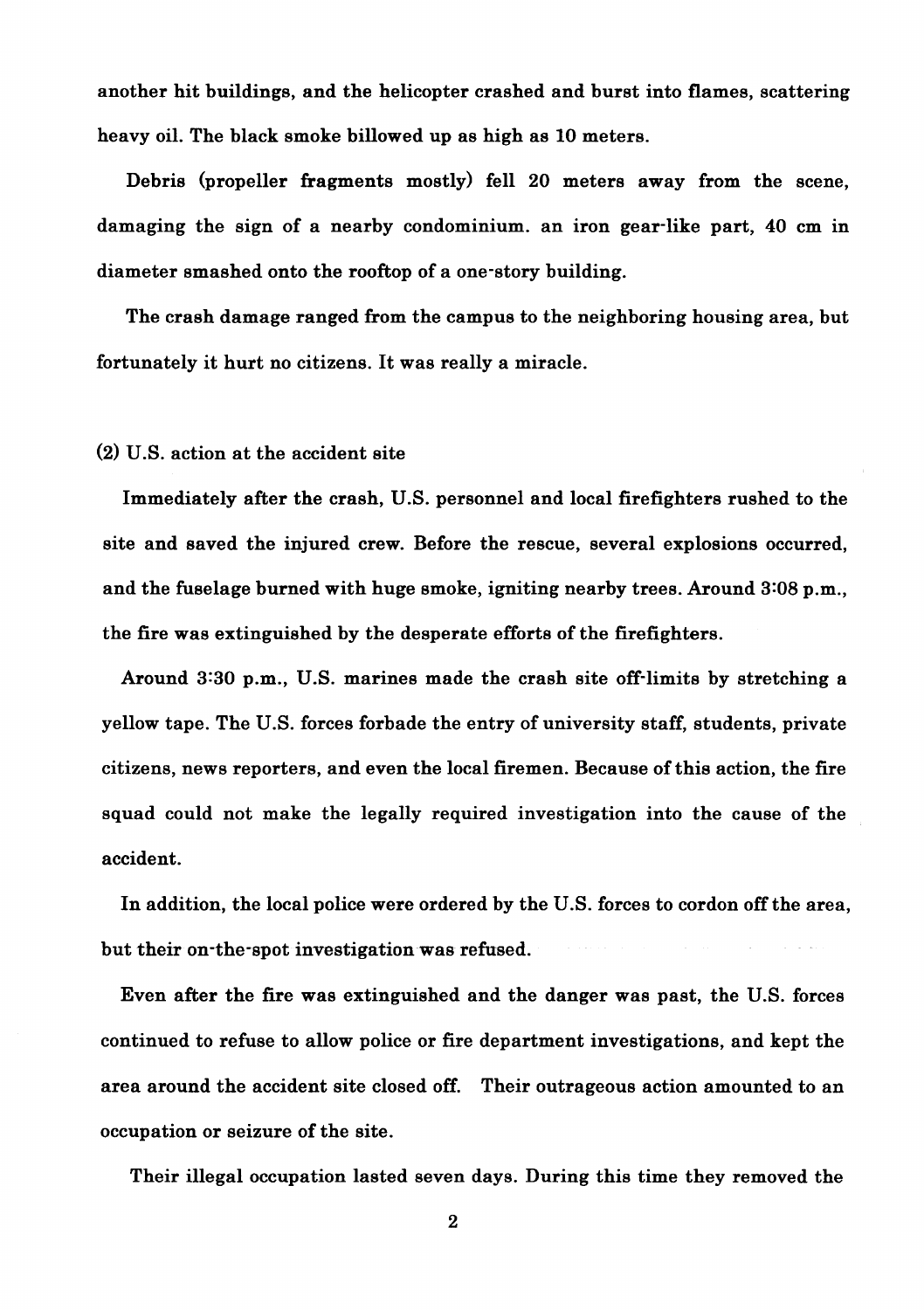another hit buildings, and the helicopter crashed and burst into flames, scattering heavy oil. The black smoke billowed up as high as 10 meters.

Debris (propeller fragments mostly) fell 20 meters away from the scene, damaging the sign of a nearby condominium. an iron gear-like part, 40 cm in diameter smashed onto the rooftop of a one-story building.

The crash damage ranged from the campus to the neighboring housing area, but fortunately it hurt no citizens. It was really a miracle.

(2) U.S. action at the accident site

Immediately after the crash, U.S. personnel and local firefighters rushed to the site and saved the injured crew. Before the rescue, several explosions occurred, and the fuselage burned with huge smoke, igniting nearby trees. Around 3:08 p.m., the fire was extinguished by the desperate efforts of the firefighters.

Around 3:30 p.m., **US.** marines made the crash site off-limits by stretching a yellow tape. The U.S. forces forbade the entry of university staff, students, private citizens, news reporters, and even the local firemen. Because of this action, the fire squad could not make the legally required investigation into the cause of the accident.

In addition, the local police were ordered by the U.S. forces to cordon off the area, but their on-the-spot investigation was refused.

Even after the fire was extinguished and the danger was past, the U.S. forces continued to refuse to allow police or fire department investigations, and kept the area around the accident site closed off. Their outrageous action amounted to an occupation or seizure of the site.

Their illegal occupation lasted seven days. During this time they removed the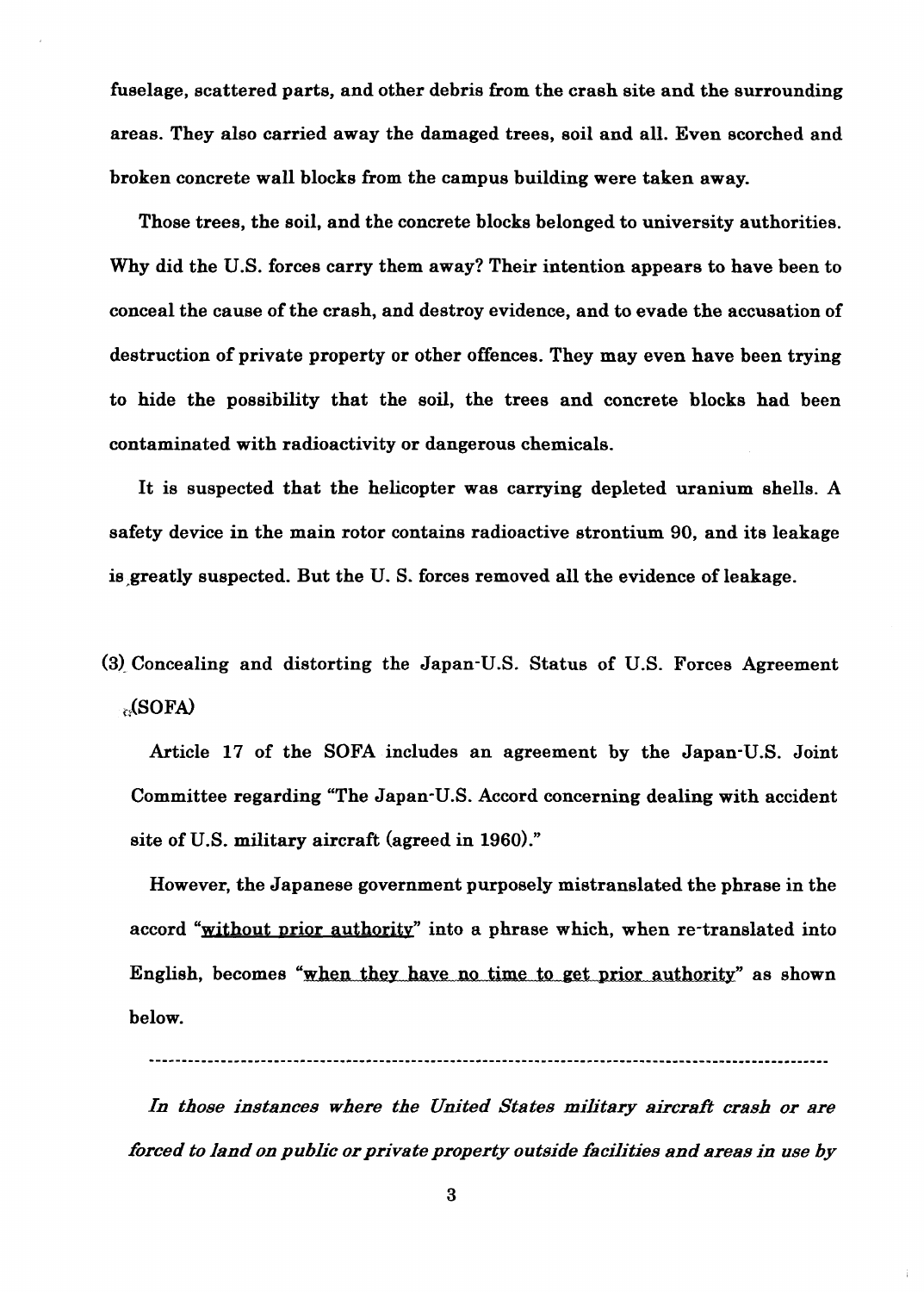fuselage, scattered parts, and other debris from the crash site and the surrounding areas. They also carried away the damaged trees, soil and all. Even scorched and broken concrete wall blocks from the campus building were taken away.

Those trees, the soil, and the concrete blocks belonged to university authorities. Why did the U.S. forces carry them away? Their intention appears to have been to conceal the cause of the crash, and destroy evidence, and to evade the accusation of destruction of private property or other offences. They may even have been trying to hide the possibility that the soil, the trees and concrete blocks had been contaminated with radioactivity or dangerous chemicals. nelage, exact<br>are parts, and other debris from the creah site and the surrennting<br>ens. They also carried away the damaged trees, soil and all. Even score<br>hed and<br>Those trees, the soil, and the concerts blocks helonged to u

It is suspected that the helicopter was carrying depleted uranium shells. A safety device in the main rotor contains radioactive strontium 90, and its leakage is greatly suspected. But the U.S. forces removed all the evidence of leakage.

# **(3)** Concealing and distorting the Japan-US. Status of U.S. Forces Agreement **i.** \*(SOFA)

Article 17 of the SOFA includes an agreement by the Japan-US. Joint Committee regarding "The Japan-US. Accord concerning dealing with accident site of U.S. military aircraft (agreed in **1960)."** 

However, the Japanese government purposely mistranslated the phrase in the accord "without prior authority" into a phrase which, when re-translated into below.

---------\_--\_-------------------------------------------------------------------------------------------

In those instances where the United States military aircraft crash or are *forced to land on public or private property outside facilities and areas in use by*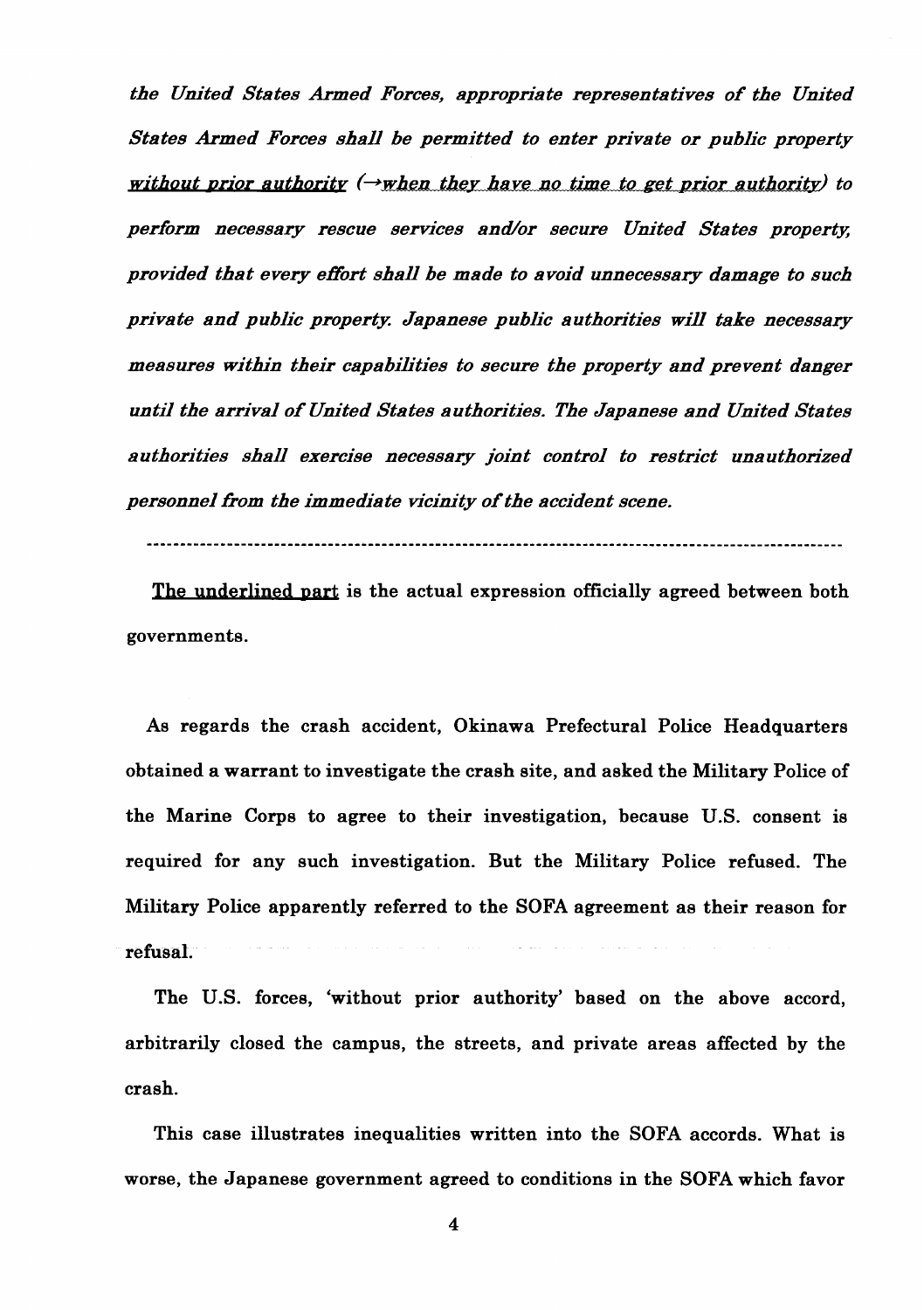*the United States Armed Forces, appropriate representatives of the United States Armed Forces shall be permitted to enter private or public property without prior authority*  $(\rightarrow$ *when they have no time to get prior authority*) to perform necessary rescue services and/or secure United States property, *provided that every effort shall be made to avoid unnecessary damage to such private and public property; Japanese public authorities win take necessary measures within their capabilities to secure the property and prevent danger until the arrival of United States authorities. The Japanese and United States a uthorities shall exercise necessary joint control to restrict una uthorized personnel from the immediate vicinity of the accident scene.* 

........................................................................................................

The underlined part is the actual expression officially agreed between both governments.

As regards the crash accident, Okinawa Prefectural Police Headquarters obtained a warrant to investigate the crash site, and asked the Military Police of the Marine Corps to agree to their investigation, because U.S. consent is required for any such investigation. But the Military Police refused. The Military Police apparently referred to the SOFA agreement as their reason for refusal.

The U.S. forces, 'without prior authority' based on the above accord, arbitrarily closed the campus, the streets, and private areas affected by the crash.

This case illustrates inequalities written into the SOFA accords. What is worse, the Japanese government agreed to conditions in the SOFA which favor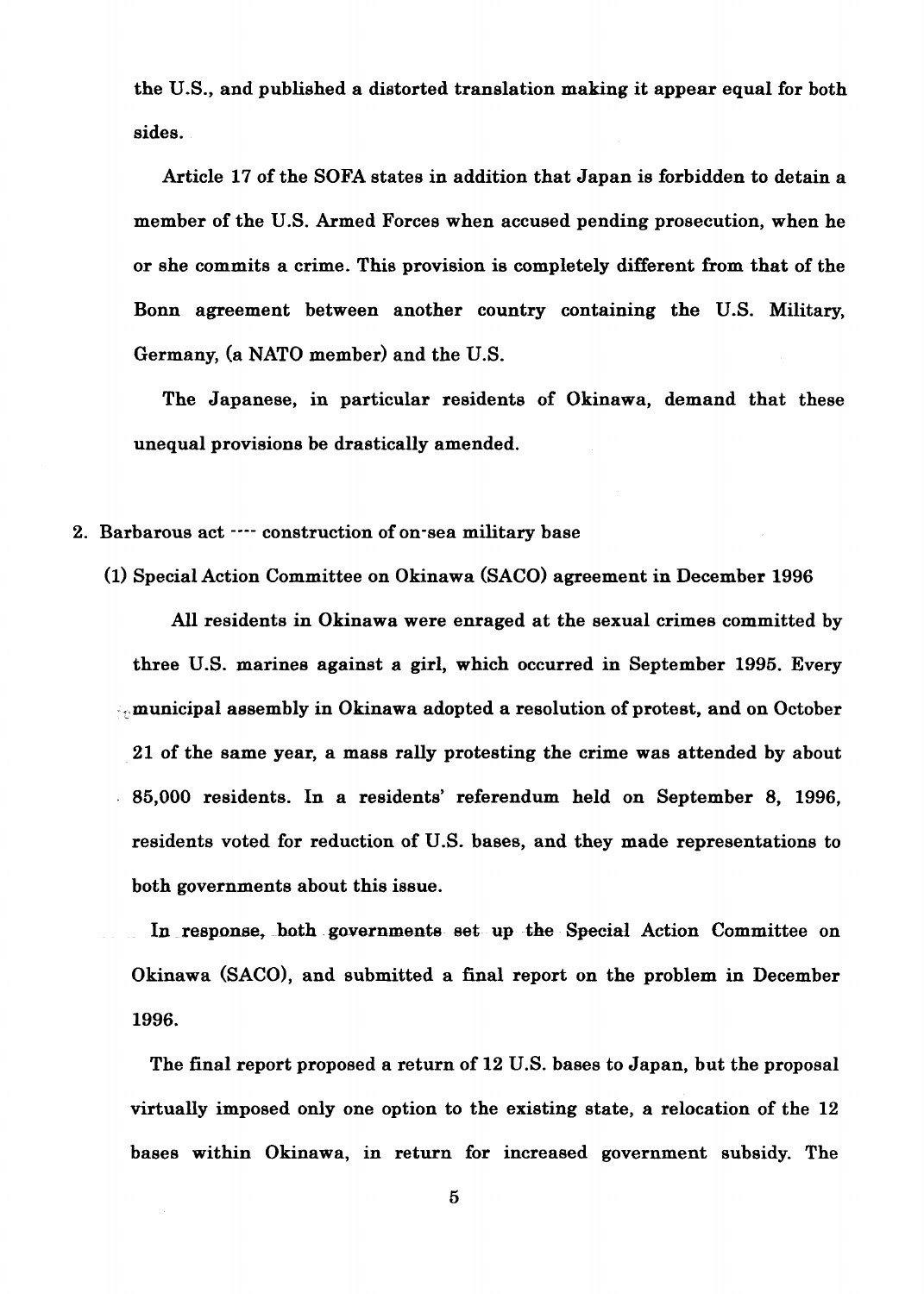the US., and published a distorted translation making it appear equal for both sides.

Article 17 of the SOFA states in addition that Japan is forbidden to detain a member of the U.S. Armed Forces when accused pending prosecution, when he or she commits a crime. This provision is completely different from that of the Bonn agreement between another country containing the U.S. Military, Germany, (a NATO member) and the U.S.

The Japanese, in particular residents of Okinawa, demand that these unequal provisions be drastically amended.

- 2. Barbarous act  $\cdots$  construction of on-sea military base
	- (1) Special Action Committee on Okinawa (SACO) agreement in December 1996

All residents in Okinawa were enraged at the sexual crimes committed by three U.S. marines against a girl, which occurred in September 1995. Every , municipal aesembly in Okinawa adopted a resolution of protest, and on October 21 of the same year, a mass rally protesting the crime was attended by about 85,000 residents. In a residents' referendum held on September 8, 1996, residents voted for reduction of **US.** bases, and they made representations to both governments about this issue.

In response, both governments set up the Special Action Committee on Okinawa (SACO), and submitted a final report on the problem in December 1996.

The final report proposed a return of 12 U.S. bases to Japan, but the proposal virtually imposed only one option to the existing state, a relocation of the 12 bases within Okinawa, in return for increased government subsidy. The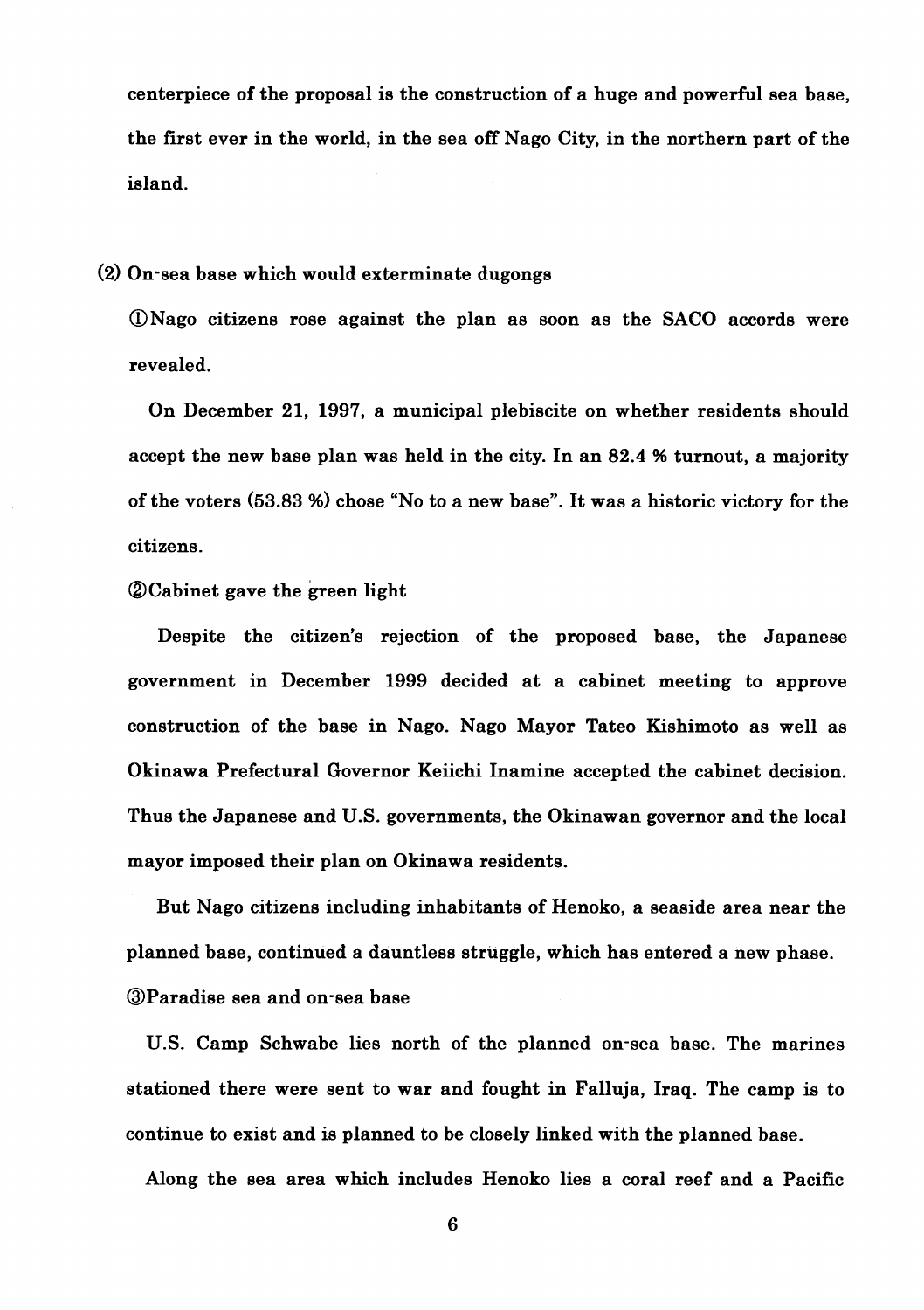centerpiece of the proposal is the construction of a huge and powerful sea base, the first ever in the world, in the sea off Nago City, in the northern part of the island.

#### (2) On-sea base which would exterminate dugongs

@Nag0 citizens rose against the plan as soon as the SAC0 accords were revealed.

On December 21, 1997, a municipal plebiscite on whether residents should accept the new base plan was held in the city. In an 82.4 % turnout, a majority of the voters (53.83 %) chose "No to a new base". It was a historic victory for the citizens.

# **@Cabinet gave the green light**

Despite the citizen's rejection of the proposed base, the Japanese government in December 1999 decided at a cabinet meeting to approve construction of the base in Nago. Nago Mayor Tateo Kishimoto as well as Okinawa Prefectural Governor Keiichi Inamine accepted the cabinet decision. Thus the Japanese and U.S. governments, the Okinawan governor and the local mayor imposed their plan on Okinawa residents.

But Nago citizens including inhabitants of Henoko, a seaside area near the planned base, continued a dauntless struggle, which has entered a new phase. @Paradise sea and on-sea base

U.S. Camp Schwabe lies north of the planned on-sea base. The marines stationed there were sent to war and fought in Falluja, Iraq. The camp is to continue to exist and is planned to be closely linked with the planned base.

Along the sea area which includes Henoko lies a coral reef and a Pacific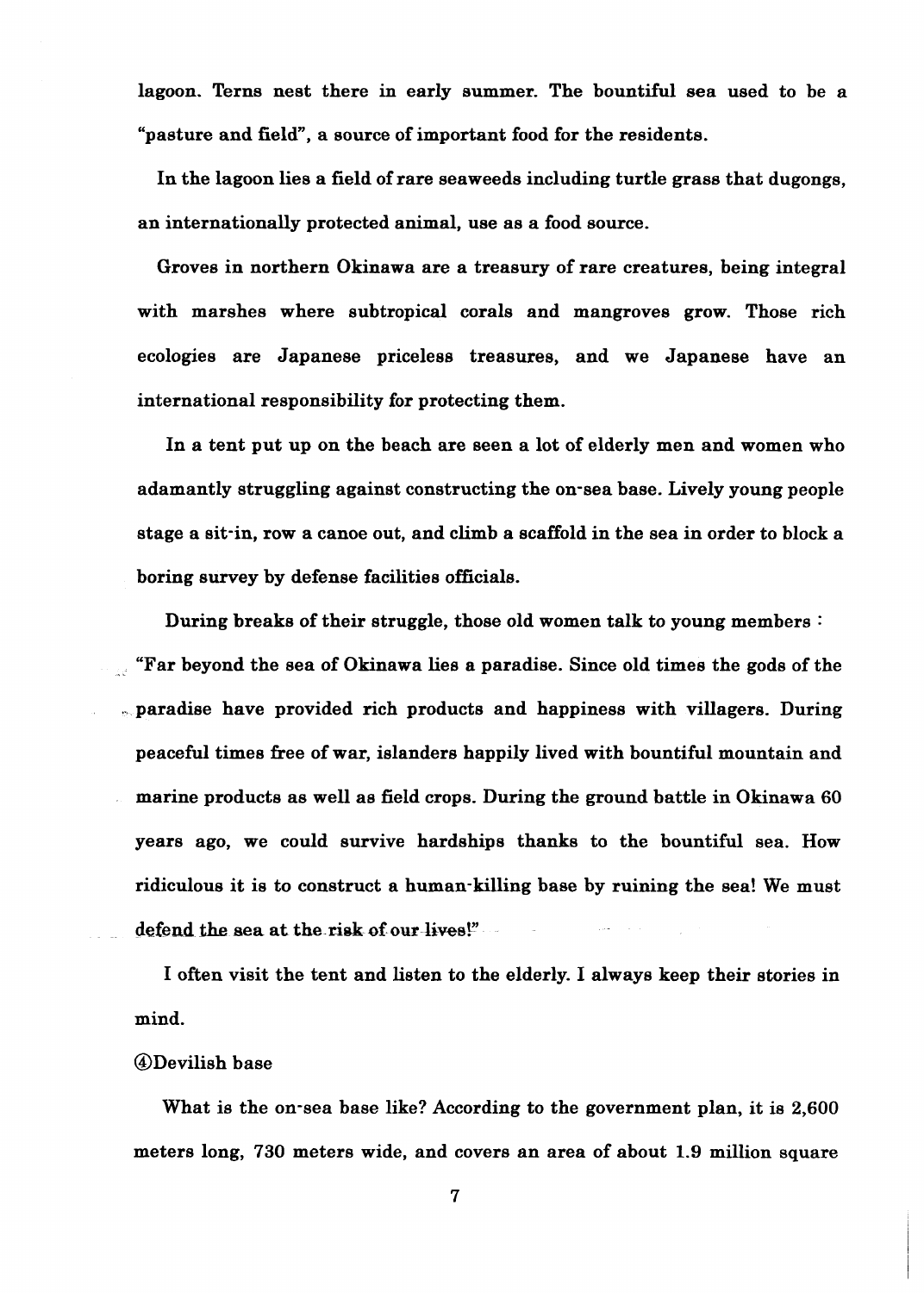lagoon. Terns nest there in early eummer. The bountiful sea used to be a "pasture and field", a source of important food for the residents.

In the lagoon lies a field of rare seaweeds including turtle grass that dugongs, an internationally protected animal, use as a food source.

Groves in northern Okinawa are a treasury of rare creatures, being integral with marshes where subtropical corals and mangroves grow. Those rich ecologies are Japanese priceless treasures, and we Japanese have an international responsibility for protecting them.

In a tent put up on the beach are seen a lot of elderly men and women who adamantly struggling against constructing the on-sea base. Lively young people stage a sit-in, row a canoe out, and climb a scaffold in the sea in order to block a boring survey by defense facilities officials.

During breaks of their struggle, those old women talk to young members : "Far beyond the sea of Okinawa lies a paradise. Since old times the gods of the . paradise have provided rich products and happiness with villagers. During peaceful times free of war, islanders happily lived with bountiful mountain and marine products as well as field crops. During the ground battle in Okinawa 60 years ago, we could survive hardships thanks to the bountiful sea. How ridiculous it is to construct a human-killing base by ruining the sea! We must defend the sea at the risk of our lives!"

I often visit the tent and listen to the elderly. I always keep their stories in mind.

#### @Devilish base

What is the on-sea base like? According to the government plan, it is 2,600 meters long, 730 meters wide, and covers an area of about 1.9 million square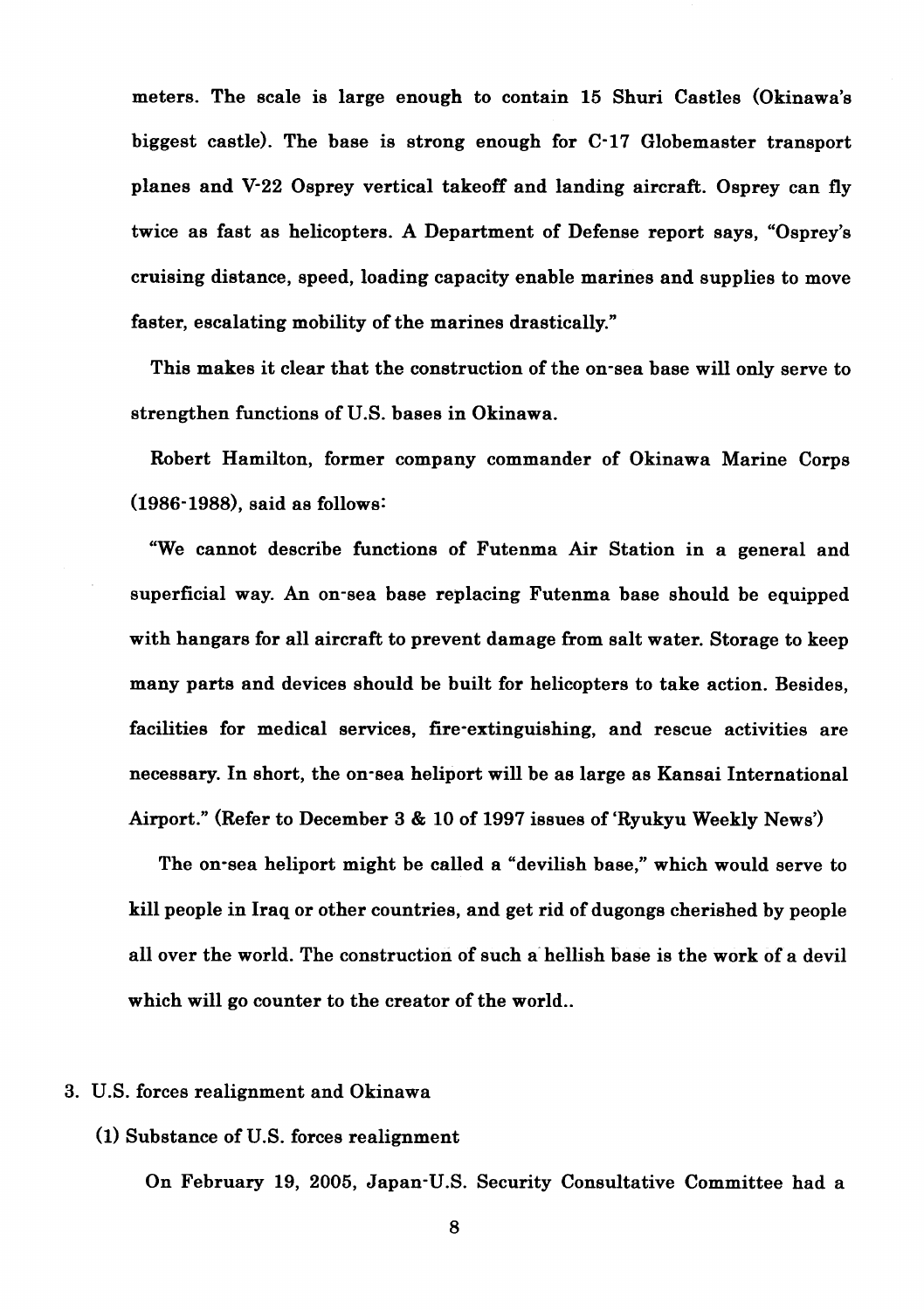meters. The scale is large enough to contain 15 Shuri Castles (Okinawa's biggest castle). The base is strong enough for C-17 Globemaster transport planes and V-22 Osprey vertical takeoff and landing aircraft. Osprey can fly twice as fast as helicopters. A Department of Defense report says, "Osprey's cruising distance, speed, loading capacity enable marines and supplies to move faster, escalating mobility of the marines drastically."

This makes it clear that the construction of the on-sea base will only serve to strengthen functions of U.S. bases in Okinawa.

Robert Hamilton, former company commander of Okinawa Marine Corps (1986- l988), said as follows:

"We cannot describe functions of Futenma Air Station in a general and superficial way. An on-sea base replacing Futenma base should be equipped with hangars for all aircraft to prevent damage from salt water. Storage to keep many parts and devices should be built for helicopters to take action. Besides, facilities for medical services, fire-extinguishing, and rescue activities are necessary. In short, the on-sea heliport will be as large as Kansai International Airport." (Refer to December 3 & 10 of 1997 issues of 'Ryukyu Weekly News')

The on-sea heliport might be called a "devilish base," which would serve to kill people in Iraq or other countries, and get rid of dugongs cherished by people all over the world. The construction of such a hellish base is the work of a devil which will go counter to the creator of the world..

## 3. U.S. forces realignment and Okinawa

## (1) Substance of U.S. forces realignment

On February 19, 2005, Japan-U.S. Security Consultative Committee had a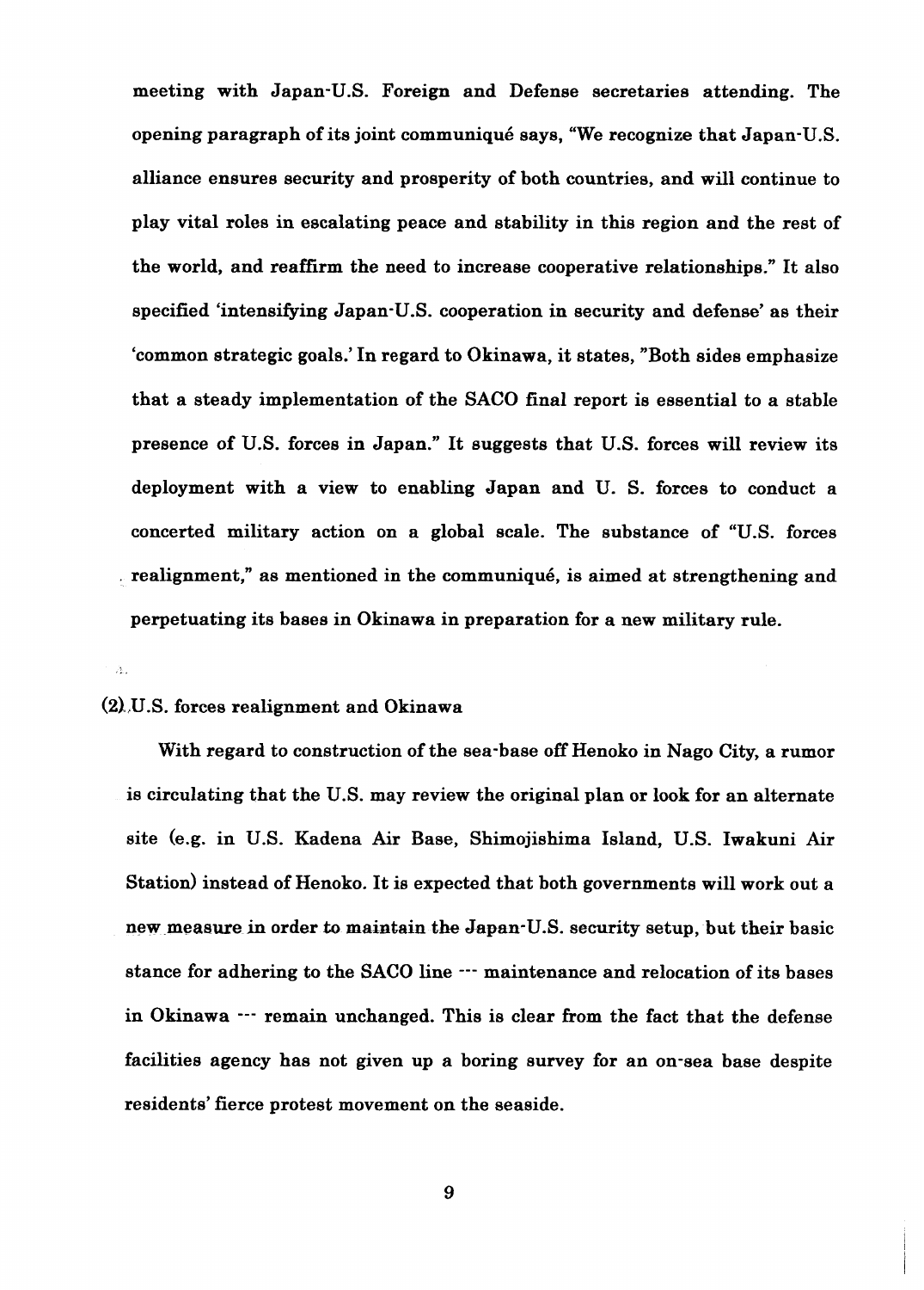meeting with Japan-U.S. Foreign and Defense secretaries attending. The opening paragraph of its joint communiqub says, "We recognize that Japan-U.S. alliance ensures security and prosperity of both countries, and will continue to play vital roles in escalating peace and stability in this region and the rest of the world, and reaffirm the need to increase cooperative relationships." It also specified 'intensifying Japan-U.S. cooperation in security and defense' as their 'common strategic goals.' In regard to Okinawa, it states, "Both sides emphasize that a steady implementation of the SACO final report is essential to a stable presence of U.S. forces in Japan." It suggests that U.S. forces will review its deployment with a view to enabling Japan and U. S. forces to conduct a concerted military action on a global scale. The substance of "U.S. forces . realignment," as mentioned in the communiqu6, is aimed at strengthening and perpetuating its bases in Okinawa in preparation for a new military rule.

# **(21** ,US. forces realignment and Okinawa

. ,

With regard to construction of the sea-base off Henoko in Nago City, a rumor is circulating that the U.S. may review the original plan or look for an alternate site (e.g. in U.S. Kadena Air Base, Shimojishima Island, U.S. Iwakuni Air Station) instead of Henoko. It is expected that both governments will work out a new measure in order to maintain the Japan-U.S. security setup, but their basic stance for adhering to the SACO line  $\cdots$  maintenance and relocation of its bases in Okinawa --- remain unchanged. This is clear from the fact that the defense facilities agency has not given up a boring survey for an on-sea base despite residents' fierce protest movement on the seaside.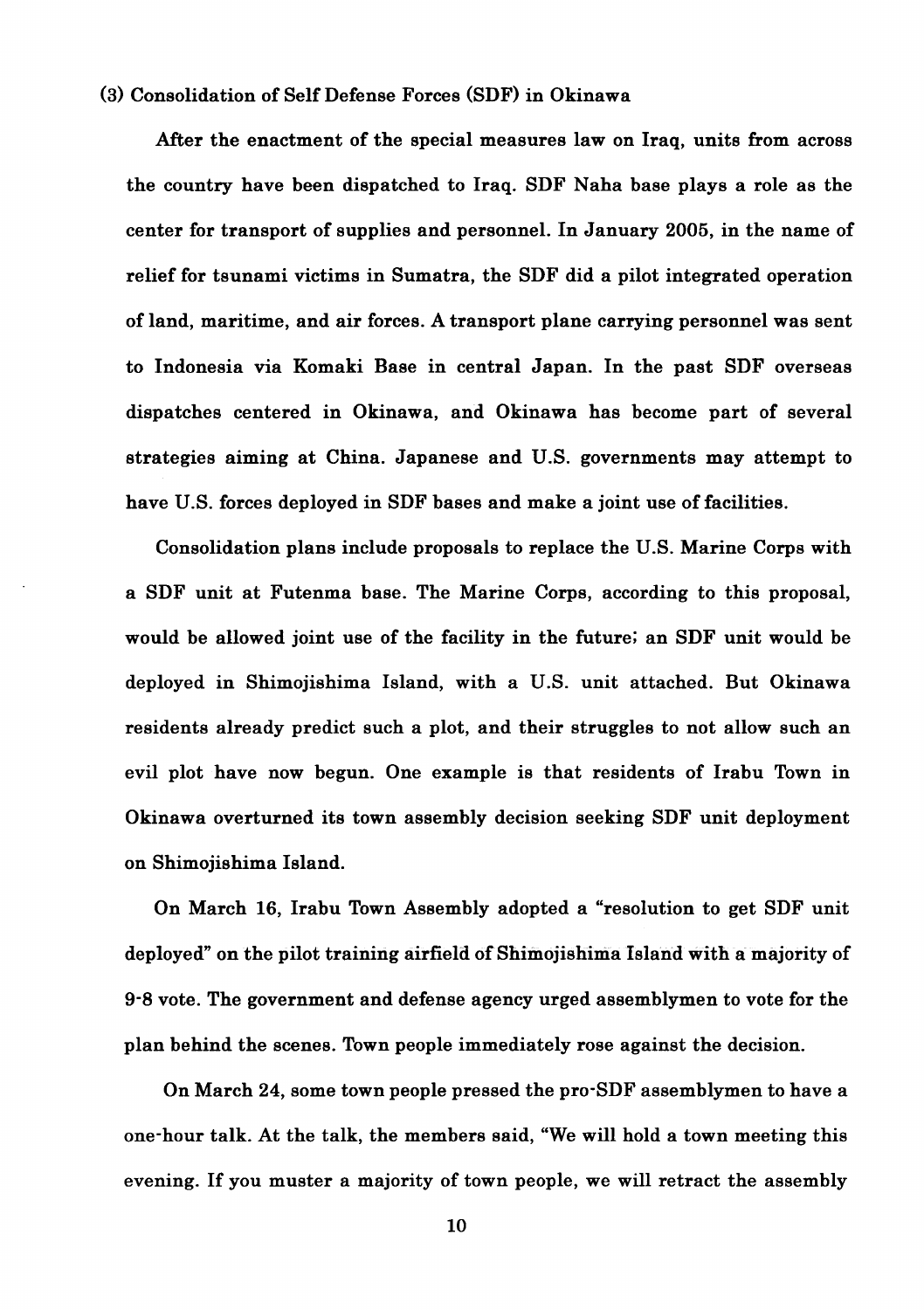## **(3)** Consolidation of Self Defense Forces (SDF) in Okinawa

After the enactment of the special measures law on Iraq, units from across the country have been dispatched to Iraq. SDF Naha base plays a role as the center for transport of supplies and personnel. In January 2005, in the name of relief for tsunami victims in Sumatra, the SDF did a pilot integrated operation of land, maritime, and air forces. A transport plane carrying personnel was sent to Indonesia via Komaki Base in central Japan. In the past SDF overseas dispatches centered in Okinawa, and Okinawa has become part of several strategies aiming at China. Japanese and US. governments may attempt to have U.S. forces deployed in SDF bases and make a joint use of facilities.

Consolidation plans include proposals to replace the U.S. Marine Corps with a SDF unit at Futenma base. The Marine Corps, according to this proposal, would be allowed joint use of the facility in the future; an SDF unit would be deployed in Shimojishima Island, with a U.S. unit attached. But Okinawa residents already predict such a plot, and their struggles to not allow such an evil plot have now begun. One example is that residents of Irabu Town in Okinawa overturned its town assembly decision seeking SDF unit deployment on Shimojishima Island.

On March 16, Irabu Town Assembly adopted a "resolution to get SDF unit deployed" on the pilot training airfield of Shimojishima Island with a majority of 9-8 vote. The government and defense agency urged assemblymen to vote for the plan behind the scenes. Town people immediately rose against the decision.

On March 24, some town people pressed the pro-SDF assemblymen to have a one-hour talk. At the talk, the members said, "We will hold a town meeting this evening. If you muster a majority of town people, we will retract the assembly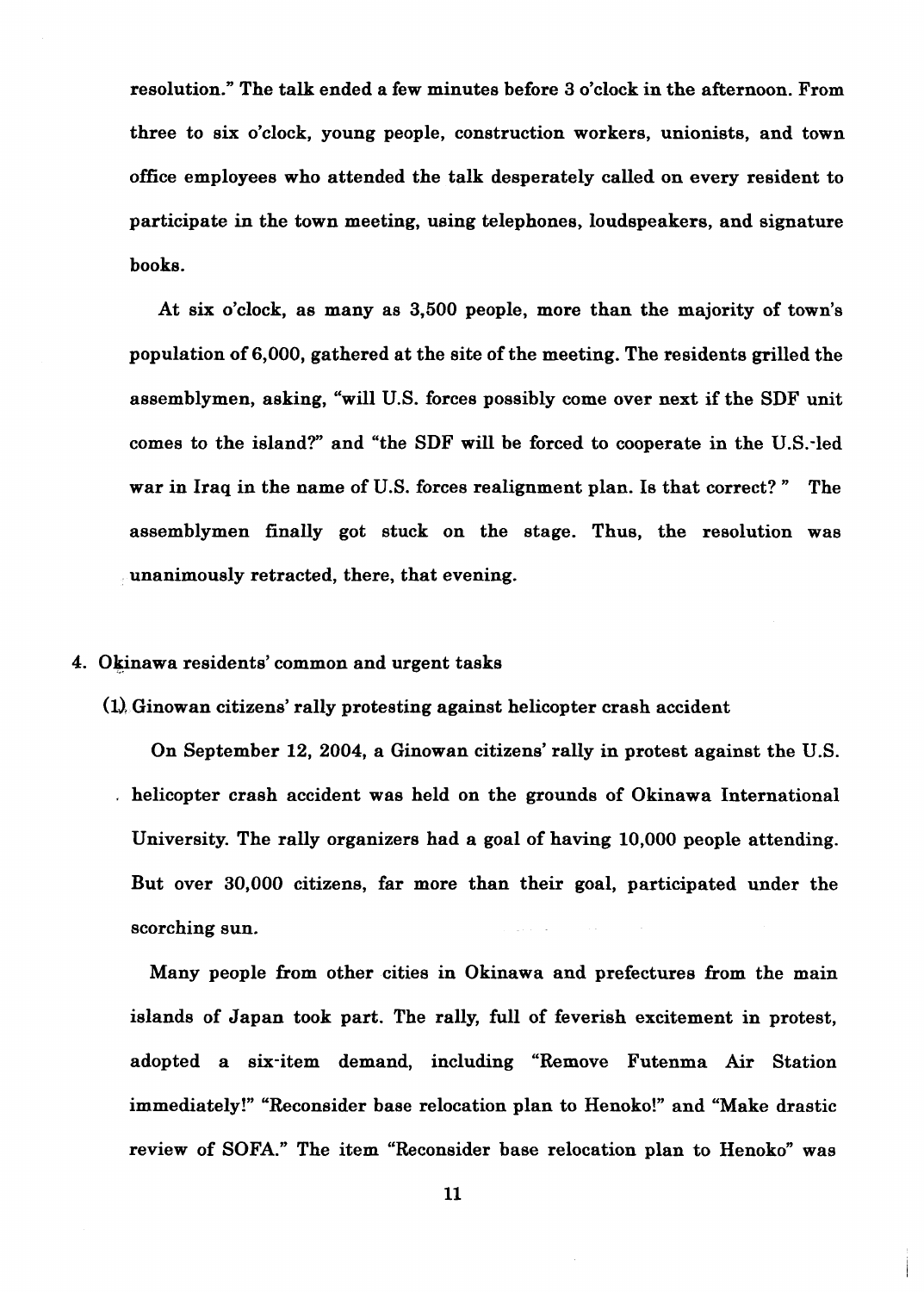resolution." The talk ended a few minutes before 3 o'clock in the afternoon. From three to six o'clock, young people, construction workers, unionists, and town office employees who attended the talk desperately called on every resident to participate in the town meeting, using telephones, loudspeakers, and signature books.

At six o'clock, as many as 3,500 people, more than the majority of town's population of 6,000, gathered at the site of the meeting. The residents grilled the assemblymen, asking, "will U.S. forces possibly come over next if the SDF unit comes to the island?" and "the SDF will be forced to cooperate in the U.S.-led war in Iraq in the name of U.S. forces realignment plan. Is that correct? " The assemblymen finally got stuck on the stage. Thus, the resolution was unanimously retracted, there, that evening.

#### 4. Okinawa residents' common and urgent tasks

 $(1)$ . Ginowan citizens' rally protesting against helicopter crash accident

On September 12, 2004, a Ginowan citizens' rally in protest against the U.S. . helicopter crash accident was held on the grounds of Okinawa International University. The rally organizers had a goal of having 10,000 people attending. But over 30,000 citizens, far more than their goal, participated under the scorching sun.

Many people from other cities in Okinawa and prefectures from the main islands of Japan took part. The rally, full of feverish excitement in protest, adopted a six-item demand, including "Remove Futenma Air Station immediately!" "Reconsider base relocation plan to Henoko!" and "Make drastic review of SOFA." The item "Reconsider base relocation plan to Henoko" was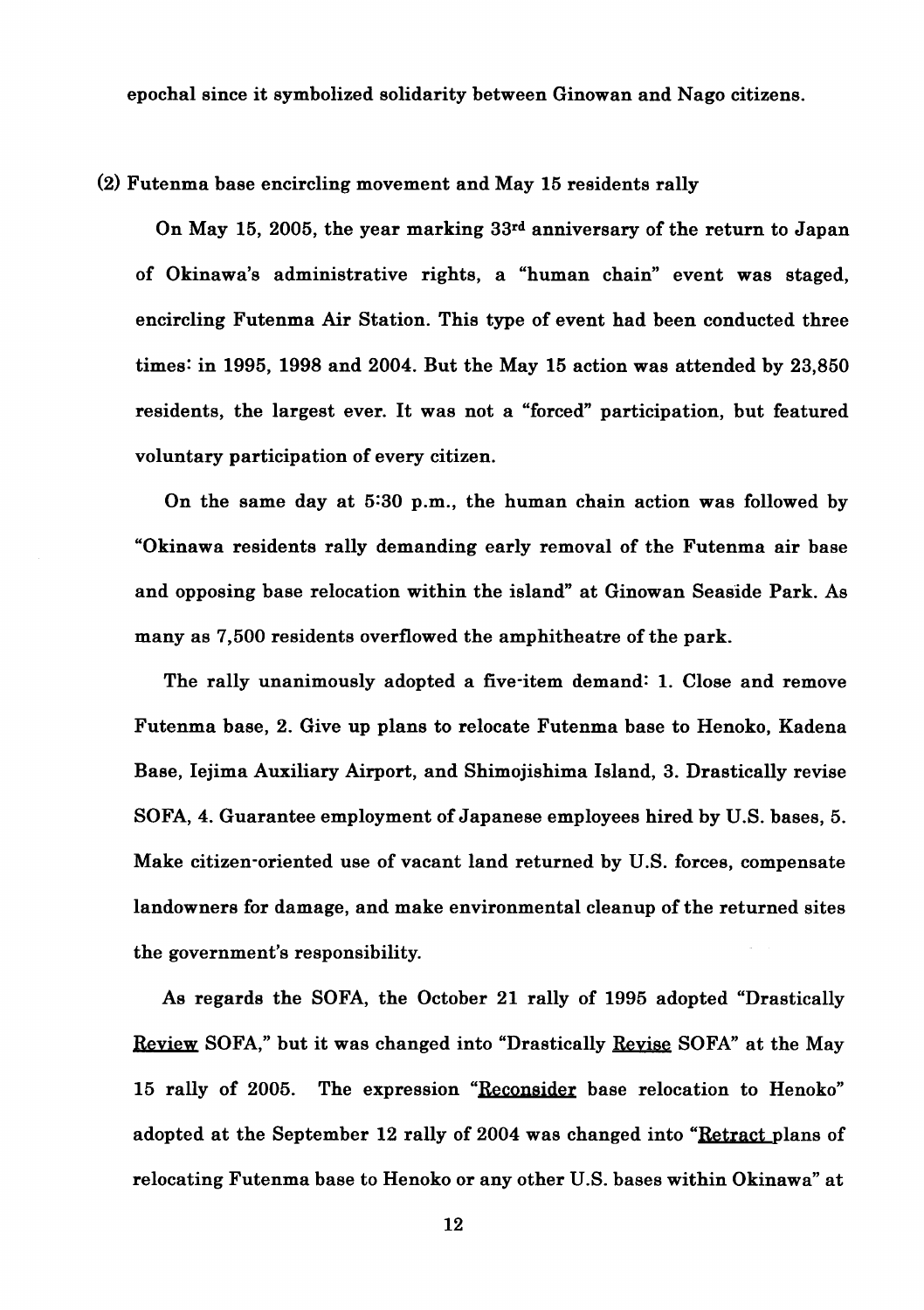epochal since it symbolized solidarity between Ginowan and Nago citizens.

#### (2) Futenma base encircling movement and May 15 residents rally

On May 15, 2005, the year marking 33rd anniversary of the return to Japan of Okinawa's administrative rights, a "human chain" event was staged, encircling Futenma Air Station. This type of event had been conducted three times: in 1995, 1998 and 2004. But the May 15 action was attended by 23,850 residents, the largest ever. It was not a "forced" participation, but featured voluntary participation of every citizen.

On the same day at 5:30 p.m., the human chain action was followed by "Okinawa residents rally demanding early removal of the Futenma air base and opposing base relocation within the island" at Ginowan Seaside Park. As many as 7,500 residents overflowed the amphitheatre of the park.

The rally unanimously adopted a five-item demand: 1. Close and remove Futenma base, 2. Give up plans to relocate Futenma base to Henoko, Kadena Base, Iejima Auxiliary Airport, and Shimojishima Island, 3. Drastically revise SOFA, 4. Guarantee employment of Japanese employees hired by U.S. bases, 5. Make citizen-oriented use of vacant land returned by U.S. forces, compensate landowners for damage, and make environmental cleanup of the returned sites the government's responsibility.

As regards the SOFA, the October 21 rally of 1995 adopted "Drastically Revien SOFA," but it was changed into "Drastically Revise SOFA" at the May 15 rally of 2005. The expression "Reconsider base relocation to Henoko" adopted at the September 12 rally of 2004 was changed into "Retract plans of relocating Futenma base to Henoko or any other U.S. bases within Okinawa" at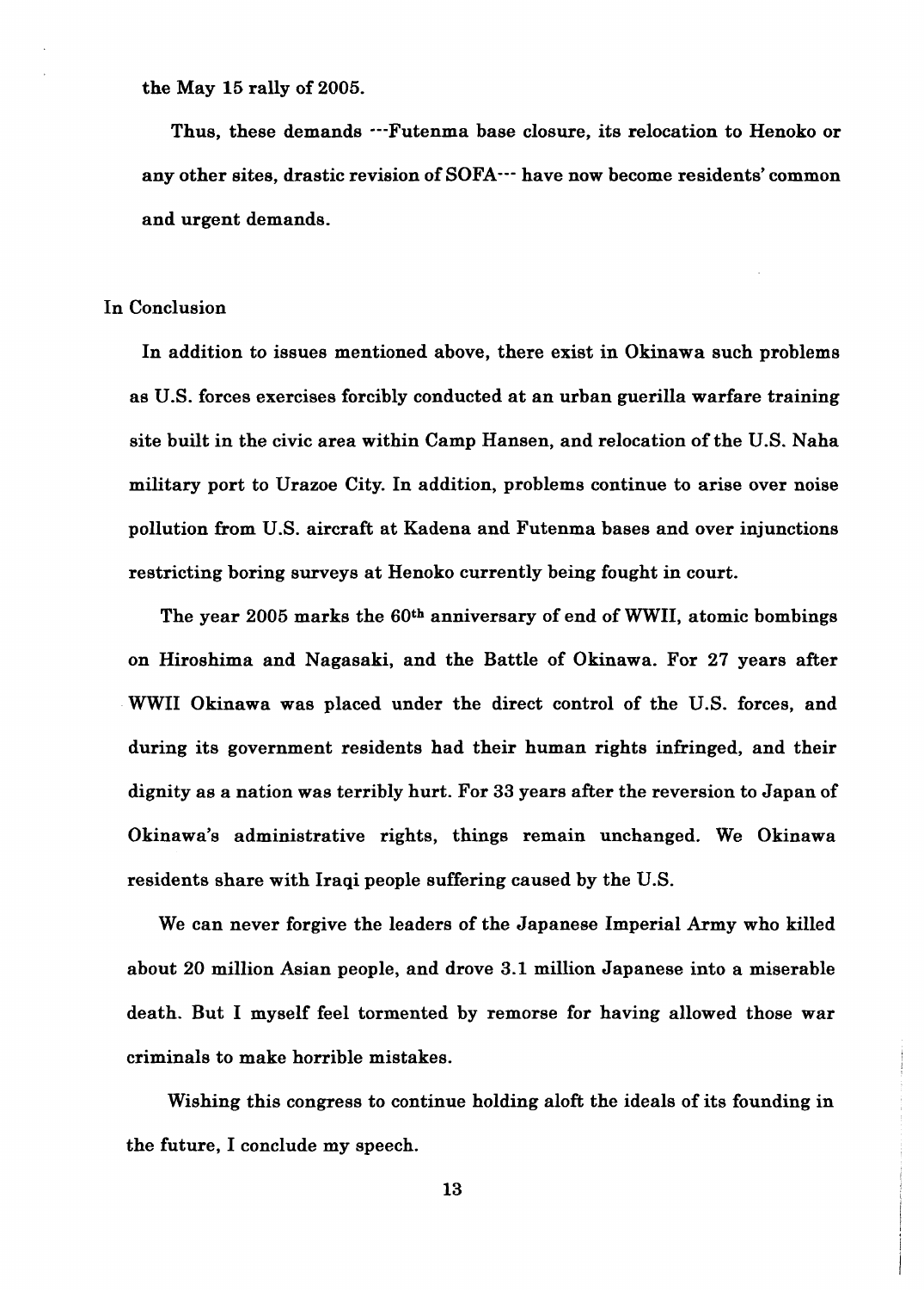the May **15** rally of **2005.** 

Thus, these demands  $\cdots$ Futenma base closure, its relocation to Henoko or any other sites, drastic revision of SOFA--- have now become residents' common and urgent demands.

#### In Conclusion

In addition to issues mentioned above, there exist in Okinawa such problems as **US.** forces exercises forcibly conducted at an urban guerilla warfare training site built in the civic area within Camp Hansen, and relocation of the U.S. Naha military port to Urazoe City. In addition, problems continue to arise over noise pollution from U.S. aircraft at Kadena and Futenma bases and over injunctions restricting boring surveys at Henoko currently being fought in court.

The year **2005** marks the **60th** anniversary of end of WWII, atomic bombings on Hiroshima and Nagasaki, and the Battle of Okinawa. For **27** years after WWII Okinawa was placed under the direct control of the U.S. forces, and during its government residents had their human rights infringed, and their dignity as a nation was terribly hurt. For 33 years after the reversion to Japan of Okinawa's administrative rights, things remain unchanged. We Okinawa residents share with Iraqi people suffering caused by the U.S.

We can never forgive the leaders of the Japanese Imperial Army who killed about **20** million Asian people, and drove 3.1 million Japanese into a miserable death. But I myself feel tormented by remorse for having allowed those war criminals to make horrible mistakes.

Wishing this congress to continue holding aloft the ideals of its founding in the future, I conclude my speech.